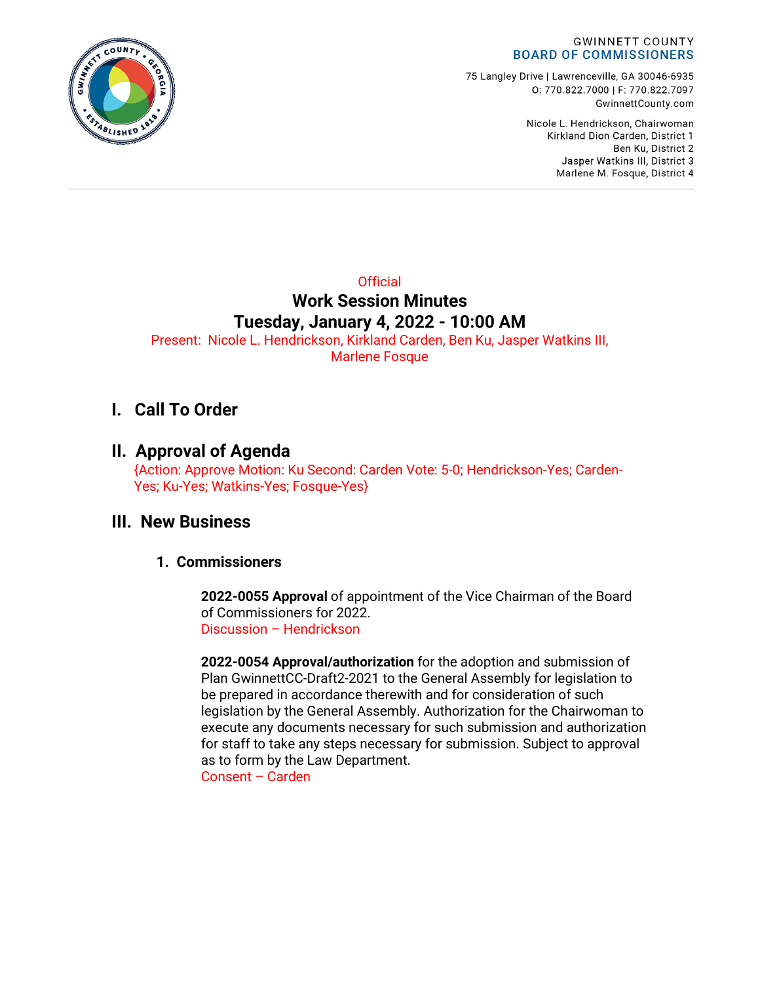

75 Langley Drive | Lawrenceville, GA 30046-6935 0: 770.822.7000 | F: 770.822.7097 GwinnettCounty.com

> Nicole L. Hendrickson, Chairwoman Kirkland Dion Carden, District 1 Ben Ku. District 2 Jasper Watkins III, District 3 Marlene M. Fosque, District 4

## **Official Work Session Minutes Tuesday, January 4, 2022 - 10:00 AM**

Present: Nicole L. Hendrickson, Kirkland Carden, Ben Ku, Jasper Watkins III, Marlene Fosque

## **I. Call To Order**

### **II. Approval of Agenda**

{Action: Approve Motion: Ku Second: Carden Vote: 5-0; Hendrickson-Yes; Carden-Yes; Ku-Yes; Watkins-Yes; Fosque-Yes}

### **III. New Business**

### **1. Commissioners**

**2022-0055 Approval** of appointment of the Vice Chairman of the Board of Commissioners for 2022. Discussion – Hendrickson

**2022-0054 Approval/authorization** for the adoption and submission of Plan GwinnettCC-Draft2-2021 to the General Assembly for legislation to be prepared in accordance therewith and for consideration of such legislation by the General Assembly. Authorization for the Chairwoman to execute any documents necessary for such submission and authorization for staff to take any steps necessary for submission. Subject to approval as to form by the Law Department.

Consent – Carden

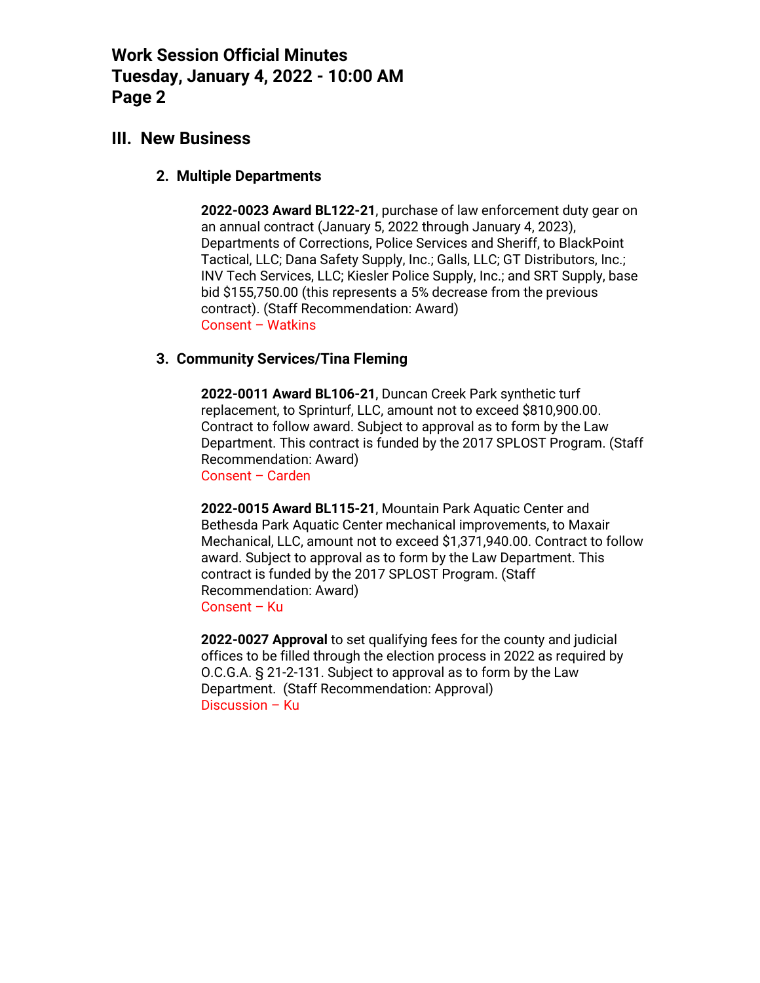### **III. New Business**

#### **2. Multiple Departments**

**2022-0023 Award BL122-21**, purchase of law enforcement duty gear on an annual contract (January 5, 2022 through January 4, 2023), Departments of Corrections, Police Services and Sheriff, to BlackPoint Tactical, LLC; Dana Safety Supply, Inc.; Galls, LLC; GT Distributors, Inc.; INV Tech Services, LLC; Kiesler Police Supply, Inc.; and SRT Supply, base bid \$155,750.00 (this represents a 5% decrease from the previous contract). (Staff Recommendation: Award) Consent – Watkins

#### **3. Community Services/Tina Fleming**

**2022-0011 Award BL106-21**, Duncan Creek Park synthetic turf replacement, to Sprinturf, LLC, amount not to exceed \$810,900.00. Contract to follow award. Subject to approval as to form by the Law Department. This contract is funded by the 2017 SPLOST Program. (Staff Recommendation: Award) Consent – Carden

**2022-0015 Award BL115-21**, Mountain Park Aquatic Center and Bethesda Park Aquatic Center mechanical improvements, to Maxair Mechanical, LLC, amount not to exceed \$1,371,940.00. Contract to follow award. Subject to approval as to form by the Law Department. This contract is funded by the 2017 SPLOST Program. (Staff Recommendation: Award) Consent – Ku

**2022-0027 Approval** to set qualifying fees for the county and judicial offices to be filled through the election process in 2022 as required by O.C.G.A. § 21-2-131. Subject to approval as to form by the Law Department. (Staff Recommendation: Approval) Discussion – Ku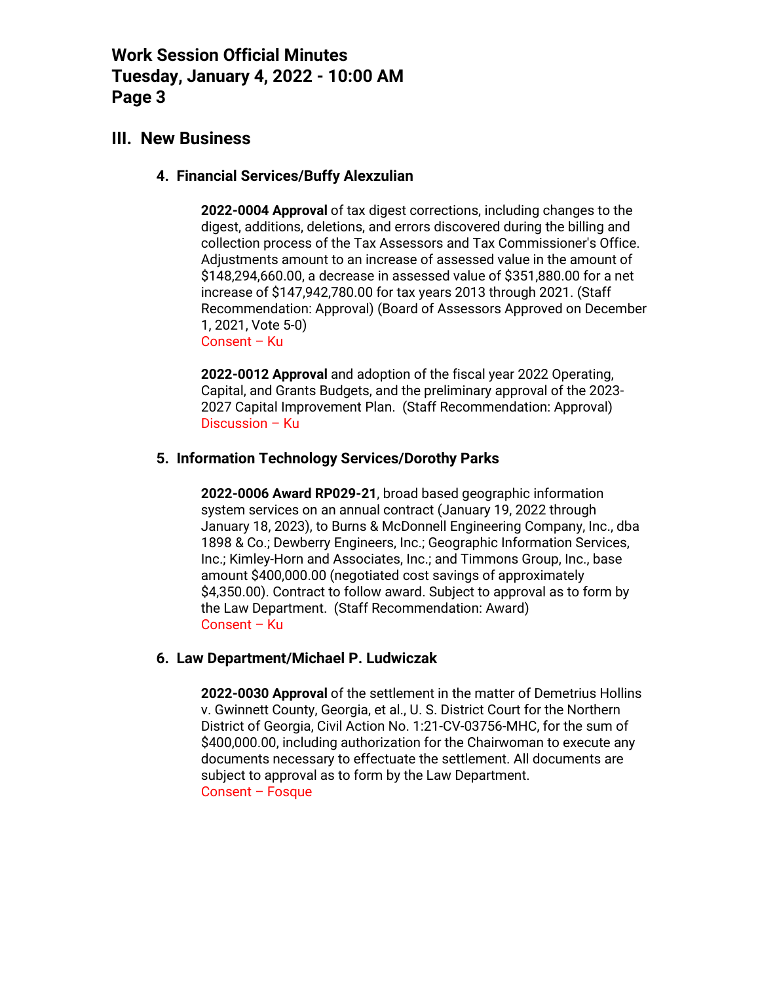### **III. New Business**

#### **4. Financial Services/Buffy Alexzulian**

**2022-0004 Approval** of tax digest corrections, including changes to the digest, additions, deletions, and errors discovered during the billing and collection process of the Tax Assessors and Tax Commissioner's Office. Adjustments amount to an increase of assessed value in the amount of \$148,294,660.00, a decrease in assessed value of \$351,880.00 for a net increase of \$147,942,780.00 for tax years 2013 through 2021. (Staff Recommendation: Approval) (Board of Assessors Approved on December 1, 2021, Vote 5-0) Consent – Ku

**2022-0012 Approval** and adoption of the fiscal year 2022 Operating, Capital, and Grants Budgets, and the preliminary approval of the 2023- 2027 Capital Improvement Plan. (Staff Recommendation: Approval) Discussion – Ku

#### **5. Information Technology Services/Dorothy Parks**

**2022-0006 Award RP029-21**, broad based geographic information system services on an annual contract (January 19, 2022 through January 18, 2023), to Burns & McDonnell Engineering Company, Inc., dba 1898 & Co.; Dewberry Engineers, Inc.; Geographic Information Services, Inc.; Kimley-Horn and Associates, Inc.; and Timmons Group, Inc., base amount \$400,000.00 (negotiated cost savings of approximately \$4,350.00). Contract to follow award. Subject to approval as to form by the Law Department. (Staff Recommendation: Award) Consent – Ku

#### **6. Law Department/Michael P. Ludwiczak**

**2022-0030 Approval** of the settlement in the matter of Demetrius Hollins v. Gwinnett County, Georgia, et al., U. S. District Court for the Northern District of Georgia, Civil Action No. 1:21-CV-03756-MHC, for the sum of \$400,000.00, including authorization for the Chairwoman to execute any documents necessary to effectuate the settlement. All documents are subject to approval as to form by the Law Department. Consent – Fosque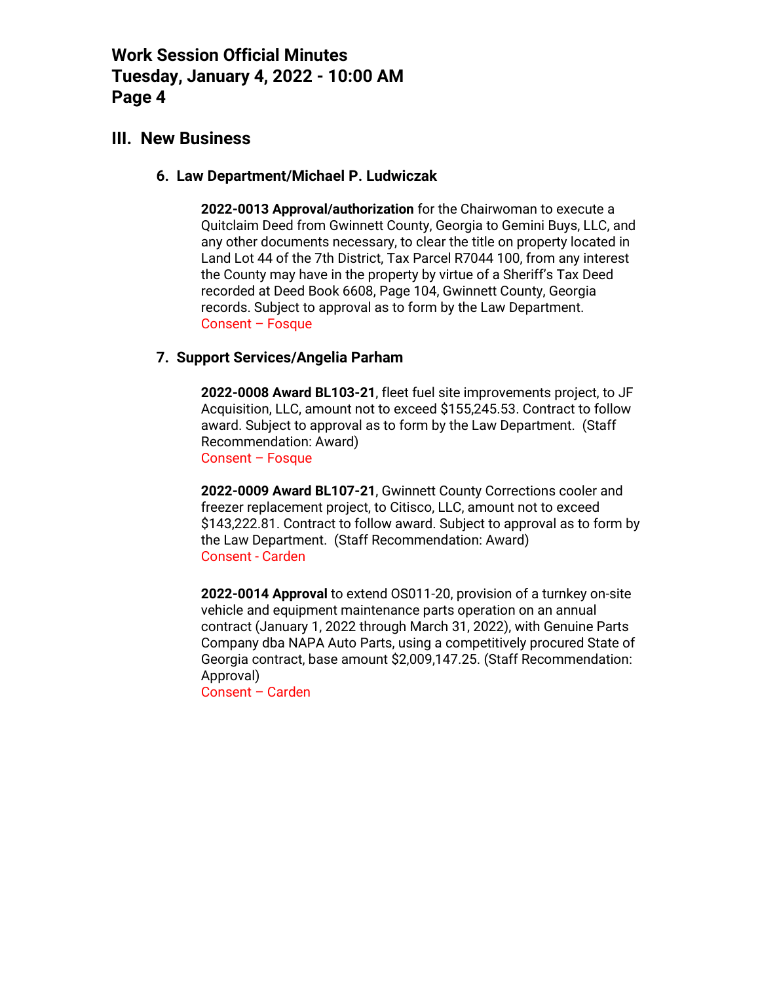### **III. New Business**

#### **6. Law Department/Michael P. Ludwiczak**

**2022-0013 Approval/authorization** for the Chairwoman to execute a Quitclaim Deed from Gwinnett County, Georgia to Gemini Buys, LLC, and any other documents necessary, to clear the title on property located in Land Lot 44 of the 7th District, Tax Parcel R7044 100, from any interest the County may have in the property by virtue of a Sheriff's Tax Deed recorded at Deed Book 6608, Page 104, Gwinnett County, Georgia records. Subject to approval as to form by the Law Department. Consent – Fosque

#### **7. Support Services/Angelia Parham**

**2022-0008 Award BL103-21**, fleet fuel site improvements project, to JF Acquisition, LLC, amount not to exceed \$155,245.53. Contract to follow award. Subject to approval as to form by the Law Department. (Staff Recommendation: Award) Consent – Fosque

**2022-0009 Award BL107-21**, Gwinnett County Corrections cooler and freezer replacement project, to Citisco, LLC, amount not to exceed \$143,222.81. Contract to follow award. Subject to approval as to form by the Law Department. (Staff Recommendation: Award) Consent - Carden

**2022-0014 Approval** to extend OS011-20, provision of a turnkey on-site vehicle and equipment maintenance parts operation on an annual contract (January 1, 2022 through March 31, 2022), with Genuine Parts Company dba NAPA Auto Parts, using a competitively procured State of Georgia contract, base amount \$2,009,147.25. (Staff Recommendation: Approval)

Consent – Carden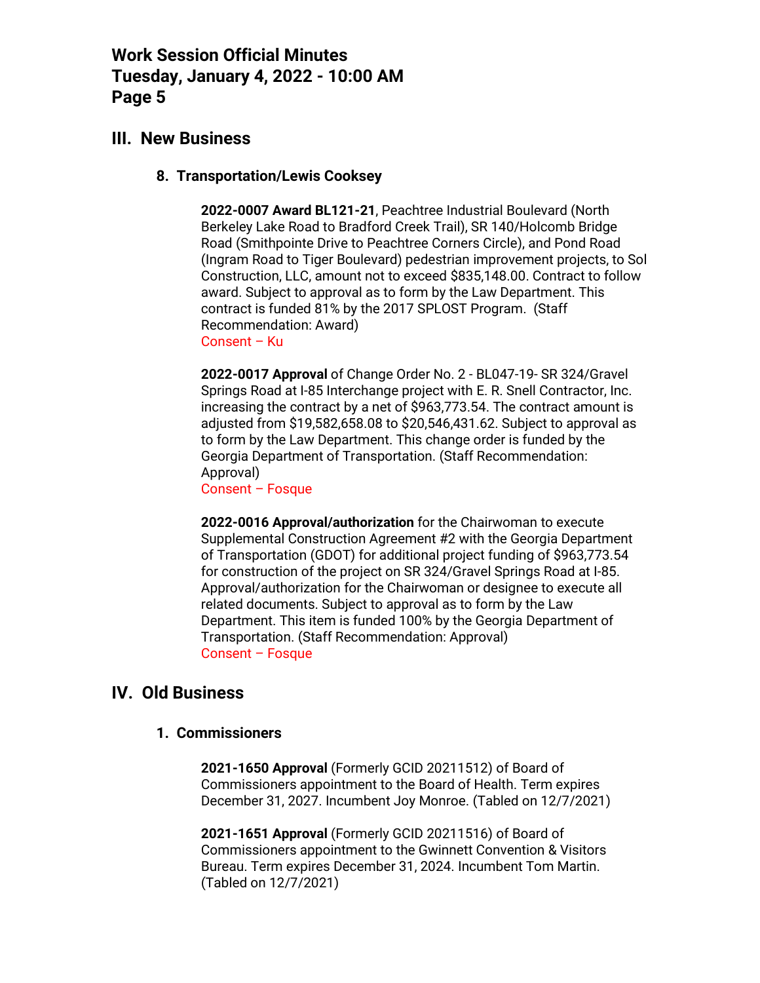### **III. New Business**

#### **8. Transportation/Lewis Cooksey**

**2022-0007 Award BL121-21**, Peachtree Industrial Boulevard (North Berkeley Lake Road to Bradford Creek Trail), SR 140/Holcomb Bridge Road (Smithpointe Drive to Peachtree Corners Circle), and Pond Road (Ingram Road to Tiger Boulevard) pedestrian improvement projects, to Sol Construction, LLC, amount not to exceed \$835,148.00. Contract to follow award. Subject to approval as to form by the Law Department. This contract is funded 81% by the 2017 SPLOST Program. (Staff Recommendation: Award) Consent – Ku

**2022-0017 Approval** of Change Order No. 2 - BL047-19- SR 324/Gravel Springs Road at I-85 Interchange project with E. R. Snell Contractor, Inc. increasing the contract by a net of \$963,773.54. The contract amount is adjusted from \$19,582,658.08 to \$20,546,431.62. Subject to approval as to form by the Law Department. This change order is funded by the Georgia Department of Transportation. (Staff Recommendation: Approval)

Consent – Fosque

**2022-0016 Approval/authorization** for the Chairwoman to execute Supplemental Construction Agreement #2 with the Georgia Department of Transportation (GDOT) for additional project funding of \$963,773.54 for construction of the project on SR 324/Gravel Springs Road at I-85. Approval/authorization for the Chairwoman or designee to execute all related documents. Subject to approval as to form by the Law Department. This item is funded 100% by the Georgia Department of Transportation. (Staff Recommendation: Approval) Consent – Fosque

### **IV. Old Business**

#### **1. Commissioners**

**2021-1650 Approval** (Formerly GCID 20211512) of Board of Commissioners appointment to the Board of Health. Term expires December 31, 2027. Incumbent Joy Monroe. (Tabled on 12/7/2021)

**2021-1651 Approval** (Formerly GCID 20211516) of Board of Commissioners appointment to the Gwinnett Convention & Visitors Bureau. Term expires December 31, 2024. Incumbent Tom Martin. (Tabled on 12/7/2021)